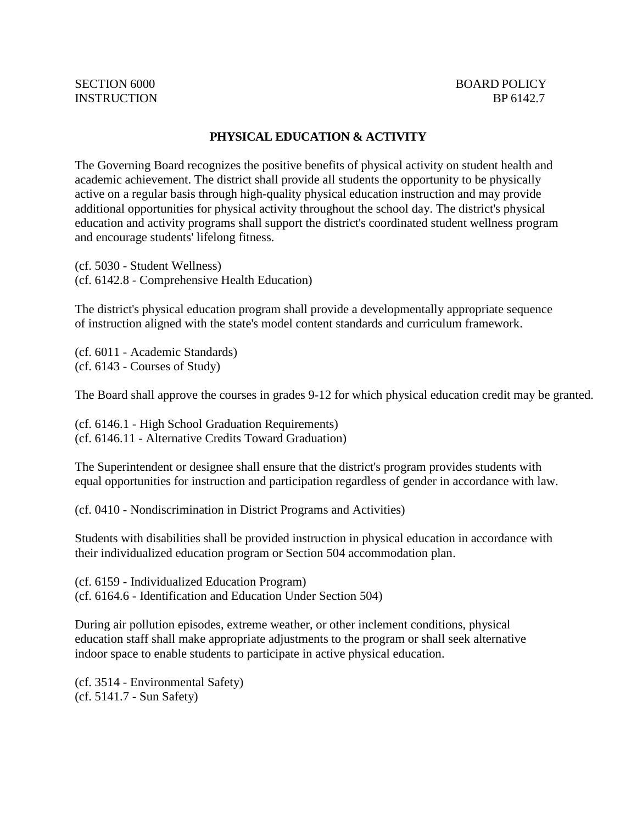## **PHYSICAL EDUCATION & ACTIVITY**

The Governing Board recognizes the positive benefits of physical activity on student health and academic achievement. The district shall provide all students the opportunity to be physically active on a regular basis through high-quality physical education instruction and may provide additional opportunities for physical activity throughout the school day. The district's physical education and activity programs shall support the district's coordinated student wellness program and encourage students' lifelong fitness.

(cf. 5030 - Student Wellness) (cf. 6142.8 - Comprehensive Health Education)

The district's physical education program shall provide a developmentally appropriate sequence of instruction aligned with the state's model content standards and curriculum framework.

(cf. 6011 - Academic Standards) (cf. 6143 - Courses of Study)

The Board shall approve the courses in grades 9-12 for which physical education credit may be granted.

(cf. 6146.1 - High School Graduation Requirements) (cf. 6146.11 - Alternative Credits Toward Graduation)

The Superintendent or designee shall ensure that the district's program provides students with equal opportunities for instruction and participation regardless of gender in accordance with law.

(cf. 0410 - Nondiscrimination in District Programs and Activities)

Students with disabilities shall be provided instruction in physical education in accordance with their individualized education program or Section 504 accommodation plan.

(cf. 6159 - Individualized Education Program) (cf. 6164.6 - Identification and Education Under Section 504)

During air pollution episodes, extreme weather, or other inclement conditions, physical education staff shall make appropriate adjustments to the program or shall seek alternative indoor space to enable students to participate in active physical education.

(cf. 3514 - Environmental Safety) (cf. 5141.7 - Sun Safety)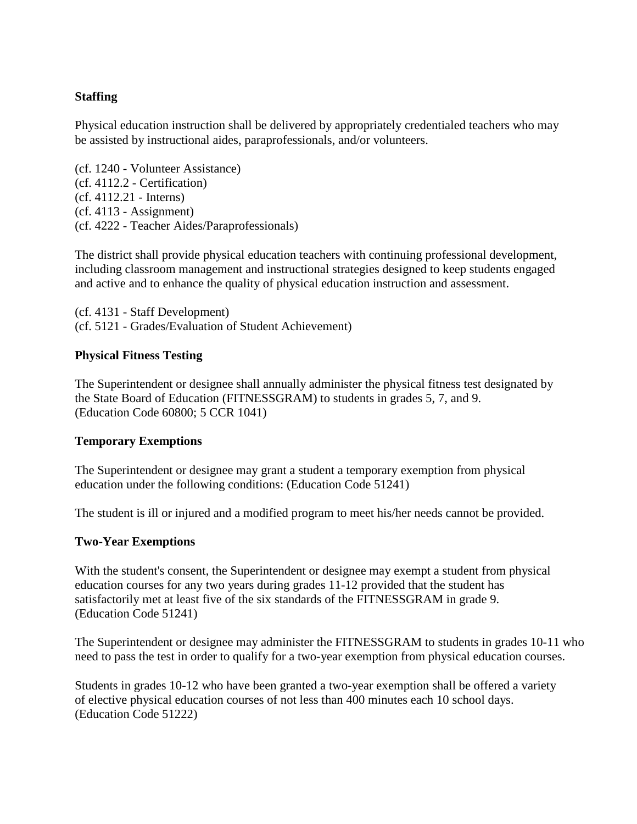# **Staffing**

Physical education instruction shall be delivered by appropriately credentialed teachers who may be assisted by instructional aides, paraprofessionals, and/or volunteers.

(cf. 1240 - Volunteer Assistance) (cf. 4112.2 - Certification) (cf. 4112.21 - Interns) (cf. 4113 - Assignment) (cf. 4222 - Teacher Aides/Paraprofessionals)

The district shall provide physical education teachers with continuing professional development, including classroom management and instructional strategies designed to keep students engaged and active and to enhance the quality of physical education instruction and assessment.

(cf. 4131 - Staff Development) (cf. 5121 - Grades/Evaluation of Student Achievement)

### **Physical Fitness Testing**

The Superintendent or designee shall annually administer the physical fitness test designated by the State Board of Education (FITNESSGRAM) to students in grades 5, 7, and 9. (Education Code 60800; 5 CCR 1041)

### **Temporary Exemptions**

The Superintendent or designee may grant a student a temporary exemption from physical education under the following conditions: (Education Code 51241)

The student is ill or injured and a modified program to meet his/her needs cannot be provided.

#### **Two-Year Exemptions**

With the student's consent, the Superintendent or designee may exempt a student from physical education courses for any two years during grades 11-12 provided that the student has satisfactorily met at least five of the six standards of the FITNESSGRAM in grade 9. (Education Code 51241)

The Superintendent or designee may administer the FITNESSGRAM to students in grades 10-11 who need to pass the test in order to qualify for a two-year exemption from physical education courses.

Students in grades 10-12 who have been granted a two-year exemption shall be offered a variety of elective physical education courses of not less than 400 minutes each 10 school days. (Education Code 51222)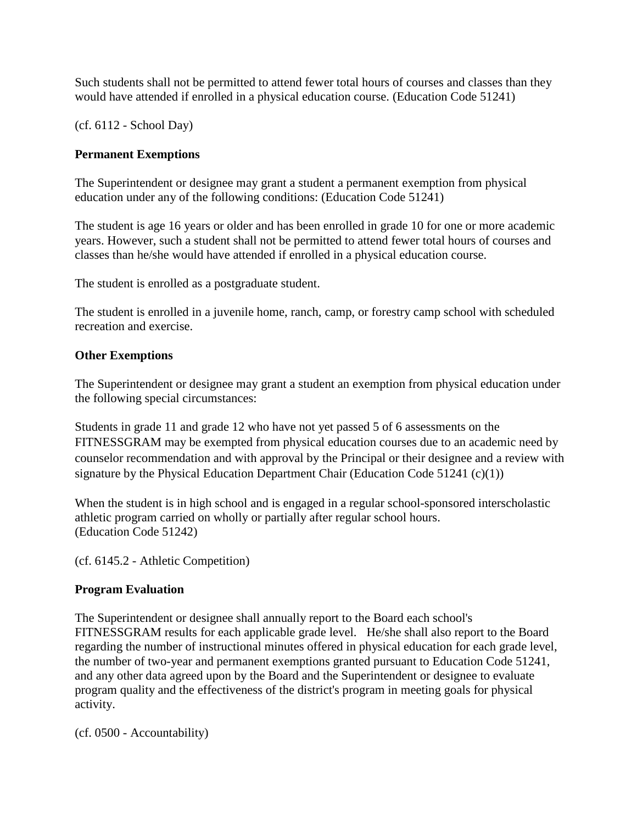Such students shall not be permitted to attend fewer total hours of courses and classes than they would have attended if enrolled in a physical education course. (Education Code 51241)

(cf. 6112 - School Day)

# **Permanent Exemptions**

The Superintendent or designee may grant a student a permanent exemption from physical education under any of the following conditions: (Education Code 51241)

The student is age 16 years or older and has been enrolled in grade 10 for one or more academic years. However, such a student shall not be permitted to attend fewer total hours of courses and classes than he/she would have attended if enrolled in a physical education course.

The student is enrolled as a postgraduate student.

The student is enrolled in a juvenile home, ranch, camp, or forestry camp school with scheduled recreation and exercise.

### **Other Exemptions**

The Superintendent or designee may grant a student an exemption from physical education under the following special circumstances:

Students in grade 11 and grade 12 who have not yet passed 5 of 6 assessments on the FITNESSGRAM may be exempted from physical education courses due to an academic need by counselor recommendation and with approval by the Principal or their designee and a review with signature by the Physical Education Department Chair (Education Code 51241 (c)(1))

When the student is in high school and is engaged in a regular school-sponsored interscholastic athletic program carried on wholly or partially after regular school hours. (Education Code 51242)

(cf. 6145.2 - Athletic Competition)

### **Program Evaluation**

The Superintendent or designee shall annually report to the Board each school's FITNESSGRAM results for each applicable grade level. He/she shall also report to the Board regarding the number of instructional minutes offered in physical education for each grade level, the number of two-year and permanent exemptions granted pursuant to Education Code 51241, and any other data agreed upon by the Board and the Superintendent or designee to evaluate program quality and the effectiveness of the district's program in meeting goals for physical activity.

(cf. 0500 - Accountability)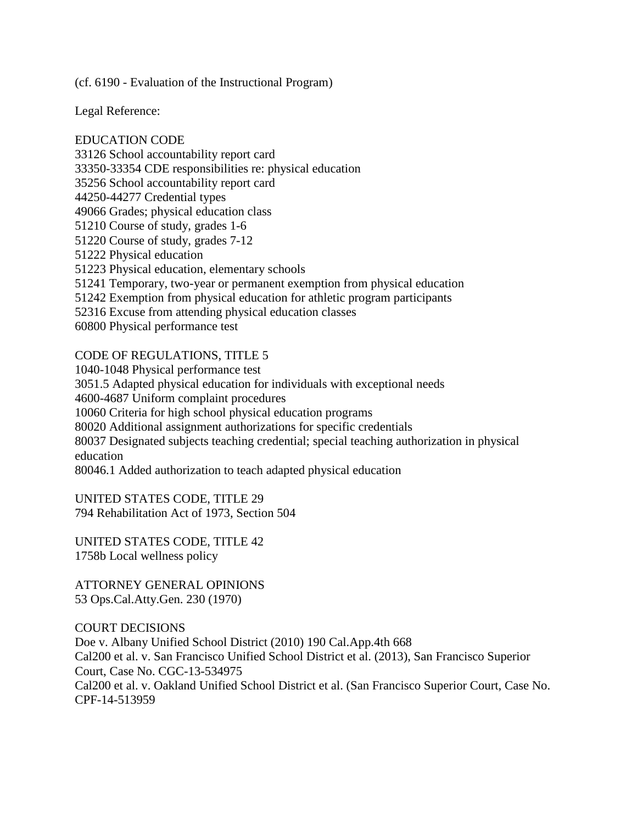(cf. 6190 - Evaluation of the Instructional Program)

Legal Reference:

EDUCATION CODE 33126 School accountability report card 33350-33354 CDE responsibilities re: physical education 35256 School accountability report card 44250-44277 Credential types 49066 Grades; physical education class 51210 Course of study, grades 1-6 51220 Course of study, grades 7-12 51222 Physical education 51223 Physical education, elementary schools 51241 Temporary, two-year or permanent exemption from physical education 51242 Exemption from physical education for athletic program participants 52316 Excuse from attending physical education classes 60800 Physical performance test

### CODE OF REGULATIONS, TITLE 5

1040-1048 Physical performance test 3051.5 Adapted physical education for individuals with exceptional needs 4600-4687 Uniform complaint procedures 10060 Criteria for high school physical education programs 80020 Additional assignment authorizations for specific credentials 80037 Designated subjects teaching credential; special teaching authorization in physical education 80046.1 Added authorization to teach adapted physical education

UNITED STATES CODE, TITLE 29 794 Rehabilitation Act of 1973, Section 504

UNITED STATES CODE, TITLE 42 1758b Local wellness policy

ATTORNEY GENERAL OPINIONS 53 Ops.Cal.Atty.Gen. 230 (1970)

COURT DECISIONS Doe v. Albany Unified School District (2010) 190 Cal.App.4th 668 Cal200 et al. v. San Francisco Unified School District et al. (2013), San Francisco Superior Court, Case No. CGC-13-534975 Cal200 et al. v. Oakland Unified School District et al. (San Francisco Superior Court, Case No. CPF-14-513959